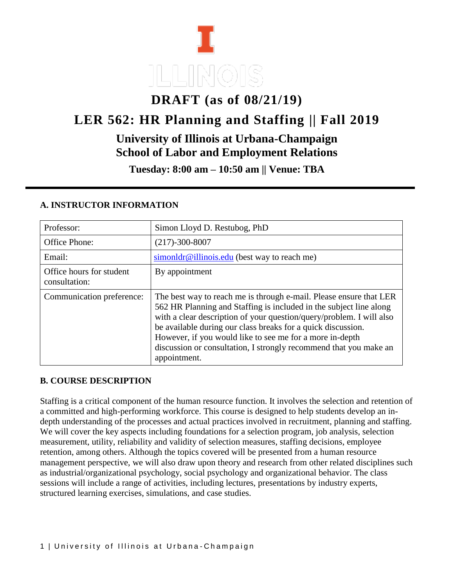# **DRAFT (as of 08/21/19)**

# **LER 562: HR Planning and Staffing || Fall 2019**

# **University of Illinois at Urbana-Champaign School of Labor and Employment Relations**

**Tuesday: 8:00 am – 10:50 am || Venue: TBA**

| Professor:                                | Simon Lloyd D. Restubog, PhD                                                                                                                                                                                                                                                                                                                                                                                                      |
|-------------------------------------------|-----------------------------------------------------------------------------------------------------------------------------------------------------------------------------------------------------------------------------------------------------------------------------------------------------------------------------------------------------------------------------------------------------------------------------------|
| Office Phone:                             | $(217) - 300 - 8007$                                                                                                                                                                                                                                                                                                                                                                                                              |
| Email:                                    | $\frac{\sin \theta}{\cos \theta}$ illinois.edu (best way to reach me)                                                                                                                                                                                                                                                                                                                                                             |
| Office hours for student<br>consultation: | By appointment                                                                                                                                                                                                                                                                                                                                                                                                                    |
| Communication preference:                 | The best way to reach me is through e-mail. Please ensure that LER<br>562 HR Planning and Staffing is included in the subject line along<br>with a clear description of your question/query/problem. I will also<br>be available during our class breaks for a quick discussion.<br>However, if you would like to see me for a more in-depth<br>discussion or consultation, I strongly recommend that you make an<br>appointment. |

#### **A. INSTRUCTOR INFORMATION**

#### **B. COURSE DESCRIPTION**

Staffing is a critical component of the human resource function. It involves the selection and retention of a committed and high-performing workforce. This course is designed to help students develop an indepth understanding of the processes and actual practices involved in recruitment, planning and staffing. We will cover the key aspects including foundations for a selection program, job analysis, selection measurement, utility, reliability and validity of selection measures, staffing decisions, employee retention, among others. Although the topics covered will be presented from a human resource management perspective, we will also draw upon theory and research from other related disciplines such as industrial/organizational psychology, social psychology and organizational behavior. The class sessions will include a range of activities, including lectures, presentations by industry experts, structured learning exercises, simulations, and case studies.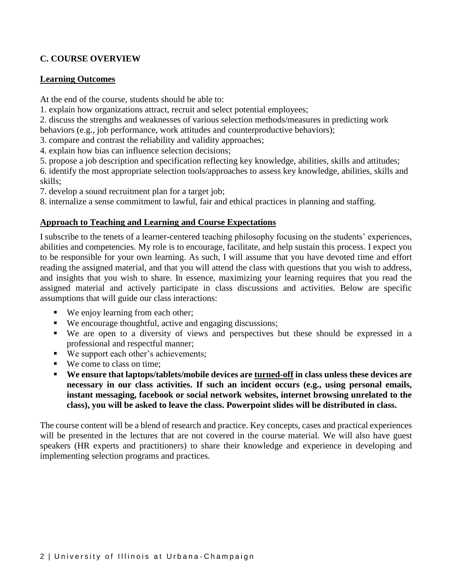#### **C. COURSE OVERVIEW**

#### **Learning Outcomes**

At the end of the course, students should be able to:

- 1. explain how organizations attract, recruit and select potential employees;
- 2. discuss the strengths and weaknesses of various selection methods/measures in predicting work
- behaviors (e.g., job performance, work attitudes and counterproductive behaviors);
- 3. compare and contrast the reliability and validity approaches;
- 4. explain how bias can influence selection decisions;
- 5. propose a job description and specification reflecting key knowledge, abilities, skills and attitudes;
- 6. identify the most appropriate selection tools/approaches to assess key knowledge, abilities, skills and skills;
- 7. develop a sound recruitment plan for a target job;
- 8. internalize a sense commitment to lawful, fair and ethical practices in planning and staffing.

#### **Approach to Teaching and Learning and Course Expectations**

I subscribe to the tenets of a learner-centered teaching philosophy focusing on the students' experiences, abilities and competencies. My role is to encourage, facilitate, and help sustain this process. I expect you to be responsible for your own learning. As such, I will assume that you have devoted time and effort reading the assigned material, and that you will attend the class with questions that you wish to address, and insights that you wish to share. In essence, maximizing your learning requires that you read the assigned material and actively participate in class discussions and activities. Below are specific assumptions that will guide our class interactions:

- We enjoy learning from each other;
- We encourage thoughtful, active and engaging discussions;
- We are open to a diversity of views and perspectives but these should be expressed in a professional and respectful manner;
- We support each other's achievements;
- We come to class on time:
- **We ensure that laptops/tablets/mobile devices are turned-off in class unless these devices are necessary in our class activities. If such an incident occurs (e.g., using personal emails, instant messaging, facebook or social network websites, internet browsing unrelated to the class), you will be asked to leave the class. Powerpoint slides will be distributed in class.**

The course content will be a blend of research and practice. Key concepts, cases and practical experiences will be presented in the lectures that are not covered in the course material. We will also have guest speakers (HR experts and practitioners) to share their knowledge and experience in developing and implementing selection programs and practices.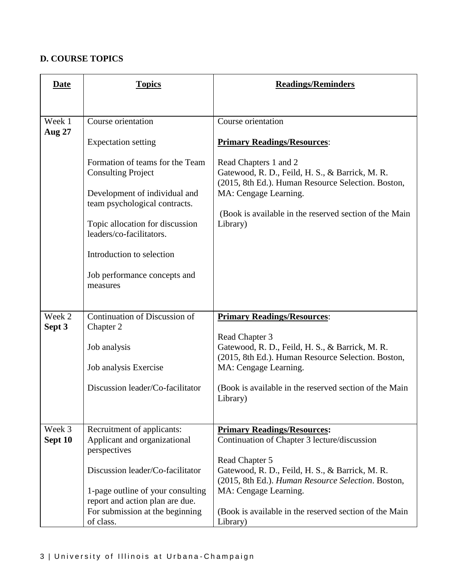## **D. COURSE TOPICS**

| <b>Date</b>             | <b>Topics</b>                                                                                                                  | <b>Readings/Reminders</b>                                                                                                                                                                                         |
|-------------------------|--------------------------------------------------------------------------------------------------------------------------------|-------------------------------------------------------------------------------------------------------------------------------------------------------------------------------------------------------------------|
|                         |                                                                                                                                |                                                                                                                                                                                                                   |
| Week 1<br><b>Aug 27</b> | Course orientation                                                                                                             | Course orientation                                                                                                                                                                                                |
|                         | <b>Expectation setting</b>                                                                                                     | <b>Primary Readings/Resources:</b>                                                                                                                                                                                |
|                         | Formation of teams for the Team<br><b>Consulting Project</b><br>Development of individual and<br>team psychological contracts. | Read Chapters 1 and 2<br>Gatewood, R. D., Feild, H. S., & Barrick, M. R.<br>(2015, 8th Ed.). Human Resource Selection. Boston,<br>MA: Cengage Learning.<br>(Book is available in the reserved section of the Main |
|                         | Topic allocation for discussion<br>leaders/co-facilitators.                                                                    | Library)                                                                                                                                                                                                          |
|                         | Introduction to selection                                                                                                      |                                                                                                                                                                                                                   |
|                         | Job performance concepts and<br>measures                                                                                       |                                                                                                                                                                                                                   |
|                         |                                                                                                                                |                                                                                                                                                                                                                   |
| Week 2<br>Sept 3        | Continuation of Discussion of<br>Chapter 2                                                                                     | <b>Primary Readings/Resources:</b>                                                                                                                                                                                |
|                         | Job analysis                                                                                                                   | Read Chapter 3<br>Gatewood, R. D., Feild, H. S., & Barrick, M. R.<br>(2015, 8th Ed.). Human Resource Selection. Boston,                                                                                           |
|                         | Job analysis Exercise                                                                                                          | MA: Cengage Learning.                                                                                                                                                                                             |
|                         | Discussion leader/Co-facilitator                                                                                               | (Book is available in the reserved section of the Main<br>Library)                                                                                                                                                |
| Week 3                  | Recruitment of applicants:                                                                                                     | <b>Primary Readings/Resources:</b>                                                                                                                                                                                |
| Sept 10                 | Applicant and organizational<br>perspectives                                                                                   | Continuation of Chapter 3 lecture/discussion                                                                                                                                                                      |
|                         | Discussion leader/Co-facilitator                                                                                               | Read Chapter 5<br>Gatewood, R. D., Feild, H. S., & Barrick, M. R.<br>(2015, 8th Ed.). Human Resource Selection. Boston,                                                                                           |
|                         | 1-page outline of your consulting<br>report and action plan are due.                                                           | MA: Cengage Learning.                                                                                                                                                                                             |
|                         | For submission at the beginning<br>of class.                                                                                   | (Book is available in the reserved section of the Main<br>Library)                                                                                                                                                |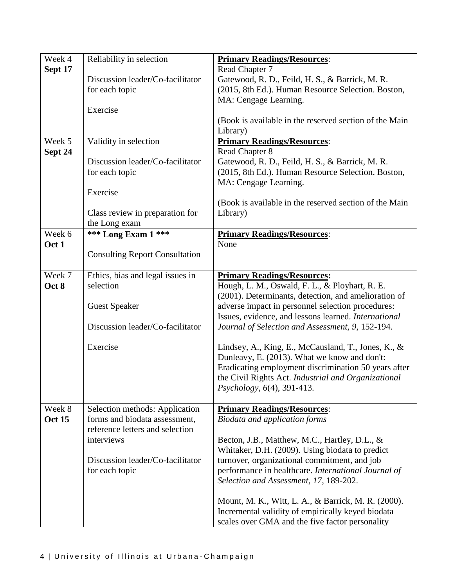| Week 4        | Reliability in selection              | <b>Primary Readings/Resources:</b>                     |
|---------------|---------------------------------------|--------------------------------------------------------|
| Sept 17       |                                       | Read Chapter 7                                         |
|               | Discussion leader/Co-facilitator      | Gatewood, R. D., Feild, H. S., & Barrick, M. R.        |
|               | for each topic                        | (2015, 8th Ed.). Human Resource Selection. Boston,     |
|               |                                       | MA: Cengage Learning.                                  |
|               | Exercise                              |                                                        |
|               |                                       | (Book is available in the reserved section of the Main |
|               |                                       | Library)                                               |
| Week 5        | Validity in selection                 | <b>Primary Readings/Resources:</b>                     |
| Sept 24       |                                       | Read Chapter 8                                         |
|               | Discussion leader/Co-facilitator      | Gatewood, R. D., Feild, H. S., & Barrick, M. R.        |
|               | for each topic                        | (2015, 8th Ed.). Human Resource Selection. Boston,     |
|               |                                       | MA: Cengage Learning.                                  |
|               | Exercise                              |                                                        |
|               |                                       | (Book is available in the reserved section of the Main |
|               | Class review in preparation for       | Library)                                               |
| Week 6        | the Long exam<br>*** Long Exam 1 ***  | <b>Primary Readings/Resources:</b>                     |
| Oct 1         |                                       | None                                                   |
|               | <b>Consulting Report Consultation</b> |                                                        |
|               |                                       |                                                        |
| Week 7        | Ethics, bias and legal issues in      | <b>Primary Readings/Resources:</b>                     |
| Oct 8         | selection                             | Hough, L. M., Oswald, F. L., & Ployhart, R. E.         |
|               |                                       | (2001). Determinants, detection, and amelioration of   |
|               | <b>Guest Speaker</b>                  | adverse impact in personnel selection procedures:      |
|               |                                       | Issues, evidence, and lessons learned. International   |
|               | Discussion leader/Co-facilitator      | Journal of Selection and Assessment, 9, 152-194.       |
|               |                                       |                                                        |
|               | Exercise                              | Lindsey, A., King, E., McCausland, T., Jones, K., &    |
|               |                                       | Dunleavy, E. (2013). What we know and don't:           |
|               |                                       | Eradicating employment discrimination 50 years after   |
|               |                                       | the Civil Rights Act. Industrial and Organizational    |
|               |                                       | <i>Psychology</i> , $6(4)$ , 391-413.                  |
| Week 8        | Selection methods: Application        | <b>Primary Readings/Resources:</b>                     |
| <b>Oct 15</b> | forms and biodata assessment,         | Biodata and application forms                          |
|               | reference letters and selection       |                                                        |
|               | interviews                            | Becton, J.B., Matthew, M.C., Hartley, D.L., &          |
|               |                                       | Whitaker, D.H. (2009). Using biodata to predict        |
|               | Discussion leader/Co-facilitator      | turnover, organizational commitment, and job           |
|               | for each topic                        | performance in healthcare. International Journal of    |
|               |                                       | Selection and Assessment, 17, 189-202.                 |
|               |                                       |                                                        |
|               |                                       | Mount, M. K., Witt, L. A., & Barrick, M. R. (2000).    |
|               |                                       | Incremental validity of empirically keyed biodata      |
|               |                                       | scales over GMA and the five factor personality        |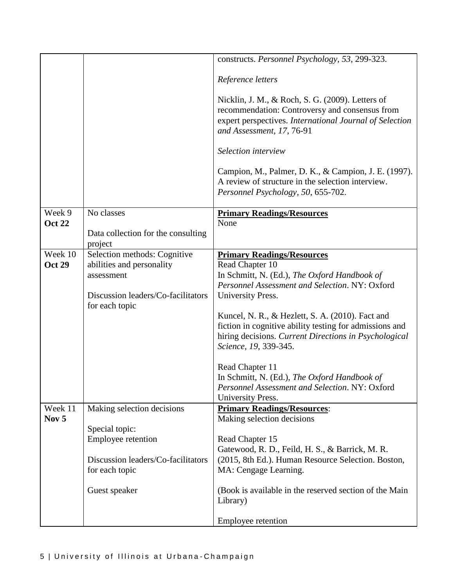|                             |                                                                                                                                 | constructs. Personnel Psychology, 53, 299-323.                                                                                                                                                                                                                                                                                                                                                                                                                                                                         |
|-----------------------------|---------------------------------------------------------------------------------------------------------------------------------|------------------------------------------------------------------------------------------------------------------------------------------------------------------------------------------------------------------------------------------------------------------------------------------------------------------------------------------------------------------------------------------------------------------------------------------------------------------------------------------------------------------------|
|                             |                                                                                                                                 | Reference letters                                                                                                                                                                                                                                                                                                                                                                                                                                                                                                      |
|                             |                                                                                                                                 | Nicklin, J. M., & Roch, S. G. (2009). Letters of<br>recommendation: Controversy and consensus from<br>expert perspectives. International Journal of Selection<br>and Assessment, 17, 76-91                                                                                                                                                                                                                                                                                                                             |
|                             |                                                                                                                                 | Selection interview                                                                                                                                                                                                                                                                                                                                                                                                                                                                                                    |
|                             |                                                                                                                                 | Campion, M., Palmer, D. K., & Campion, J. E. (1997).<br>A review of structure in the selection interview.<br>Personnel Psychology, 50, 655-702.                                                                                                                                                                                                                                                                                                                                                                        |
| Week 9<br><b>Oct 22</b>     | No classes                                                                                                                      | <b>Primary Readings/Resources</b><br>None                                                                                                                                                                                                                                                                                                                                                                                                                                                                              |
|                             | Data collection for the consulting<br>project                                                                                   |                                                                                                                                                                                                                                                                                                                                                                                                                                                                                                                        |
| Week 10<br><b>Oct 29</b>    | Selection methods: Cognitive<br>abilities and personality<br>assessment<br>Discussion leaders/Co-facilitators<br>for each topic | <b>Primary Readings/Resources</b><br>Read Chapter 10<br>In Schmitt, N. (Ed.), The Oxford Handbook of<br>Personnel Assessment and Selection. NY: Oxford<br>University Press.<br>Kuncel, N. R., & Hezlett, S. A. (2010). Fact and<br>fiction in cognitive ability testing for admissions and<br>hiring decisions. Current Directions in Psychological<br>Science, 19, 339-345.<br>Read Chapter 11<br>In Schmitt, N. (Ed.), The Oxford Handbook of<br>Personnel Assessment and Selection. NY: Oxford<br>University Press. |
| Week 11<br>Nov <sub>5</sub> | Making selection decisions                                                                                                      | <b>Primary Readings/Resources:</b><br>Making selection decisions                                                                                                                                                                                                                                                                                                                                                                                                                                                       |
|                             | Special topic:<br>Employee retention<br>Discussion leaders/Co-facilitators                                                      | Read Chapter 15<br>Gatewood, R. D., Feild, H. S., & Barrick, M. R.<br>(2015, 8th Ed.). Human Resource Selection. Boston,                                                                                                                                                                                                                                                                                                                                                                                               |
|                             | for each topic                                                                                                                  | MA: Cengage Learning.                                                                                                                                                                                                                                                                                                                                                                                                                                                                                                  |
|                             | Guest speaker                                                                                                                   | (Book is available in the reserved section of the Main<br>Library)                                                                                                                                                                                                                                                                                                                                                                                                                                                     |
|                             |                                                                                                                                 | Employee retention                                                                                                                                                                                                                                                                                                                                                                                                                                                                                                     |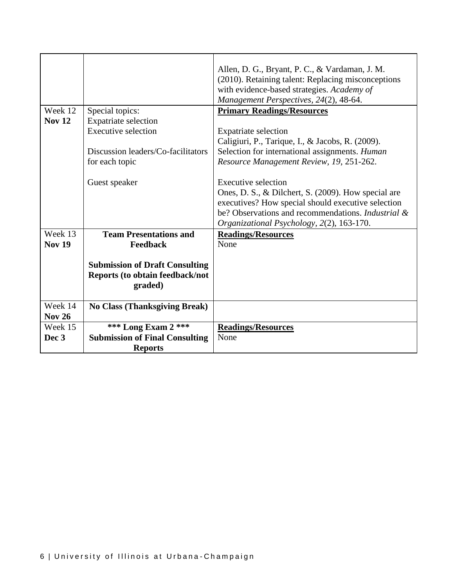|                  |                                                           | Allen, D. G., Bryant, P. C., & Vardaman, J. M.<br>(2010). Retaining talent: Replacing misconceptions                |
|------------------|-----------------------------------------------------------|---------------------------------------------------------------------------------------------------------------------|
|                  |                                                           | with evidence-based strategies. Academy of                                                                          |
|                  |                                                           | Management Perspectives, 24(2), 48-64.                                                                              |
| Week 12          |                                                           |                                                                                                                     |
| <b>Nov 12</b>    | Special topics:                                           | <b>Primary Readings/Resources</b>                                                                                   |
|                  | <b>Expatriate selection</b><br><b>Executive selection</b> |                                                                                                                     |
|                  |                                                           | <b>Expatriate selection</b>                                                                                         |
|                  |                                                           | Caligiuri, P., Tarique, I., & Jacobs, R. (2009).                                                                    |
|                  | Discussion leaders/Co-facilitators                        | Selection for international assignments. Human                                                                      |
|                  | for each topic                                            | Resource Management Review, 19, 251-262.                                                                            |
|                  |                                                           | Executive selection                                                                                                 |
|                  | Guest speaker                                             |                                                                                                                     |
|                  |                                                           | Ones, D. S., & Dilchert, S. (2009). How special are                                                                 |
|                  |                                                           | executives? How special should executive selection<br>be? Observations and recommendations. <i>Industrial &amp;</i> |
|                  |                                                           |                                                                                                                     |
| Week 13          | <b>Team Presentations and</b>                             | Organizational Psychology, 2(2), 163-170.                                                                           |
|                  |                                                           | <b>Readings/Resources</b>                                                                                           |
| <b>Nov 19</b>    | Feedback                                                  | None                                                                                                                |
|                  |                                                           |                                                                                                                     |
|                  | <b>Submission of Draft Consulting</b>                     |                                                                                                                     |
|                  | Reports (to obtain feedback/not                           |                                                                                                                     |
|                  | graded)                                                   |                                                                                                                     |
| Week 14          | <b>No Class (Thanksgiving Break)</b>                      |                                                                                                                     |
| <b>Nov 26</b>    |                                                           |                                                                                                                     |
| Week 15          | *** Long Exam 2 ***                                       | <b>Readings/Resources</b>                                                                                           |
| Dec <sub>3</sub> | <b>Submission of Final Consulting</b>                     | None                                                                                                                |
|                  | <b>Reports</b>                                            |                                                                                                                     |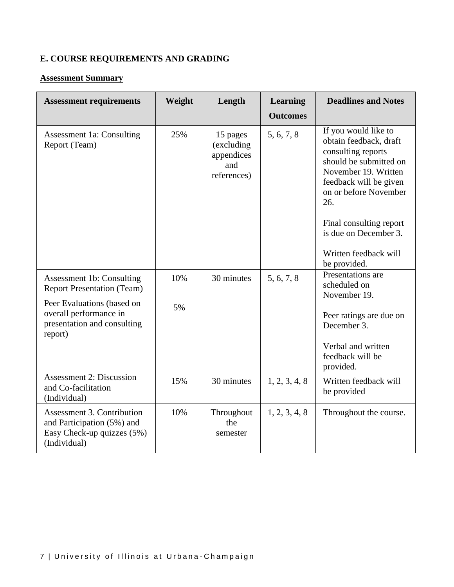# **E. COURSE REQUIREMENTS AND GRADING**

#### **Assessment Summary**

| <b>Assessment requirements</b>                                                                                | Weight | Length                                                     | <b>Learning</b> | <b>Deadlines and Notes</b>                                                                                                                                                       |
|---------------------------------------------------------------------------------------------------------------|--------|------------------------------------------------------------|-----------------|----------------------------------------------------------------------------------------------------------------------------------------------------------------------------------|
|                                                                                                               |        |                                                            | <b>Outcomes</b> |                                                                                                                                                                                  |
| <b>Assessment 1a: Consulting</b><br>Report (Team)                                                             | 25%    | 15 pages<br>(excluding<br>appendices<br>and<br>references) | 5, 6, 7, 8      | If you would like to<br>obtain feedback, draft<br>consulting reports<br>should be submitted on<br>November 19. Written<br>feedback will be given<br>on or before November<br>26. |
|                                                                                                               |        |                                                            |                 | Final consulting report<br>is due on December 3.                                                                                                                                 |
|                                                                                                               |        |                                                            |                 | Written feedback will<br>be provided.                                                                                                                                            |
| Assessment 1b: Consulting<br><b>Report Presentation (Team)</b>                                                | 10%    | 30 minutes                                                 | 5, 6, 7, 8      | Presentations are<br>scheduled on<br>November 19.                                                                                                                                |
| Peer Evaluations (based on<br>overall performance in<br>presentation and consulting<br>report)                | 5%     |                                                            |                 | Peer ratings are due on<br>December 3.                                                                                                                                           |
|                                                                                                               |        |                                                            |                 | Verbal and written<br>feedback will be<br>provided.                                                                                                                              |
| <b>Assessment 2: Discussion</b><br>and Co-facilitation<br>(Individual)                                        | 15%    | 30 minutes                                                 | 1, 2, 3, 4, 8   | Written feedback will<br>be provided                                                                                                                                             |
| <b>Assessment 3. Contribution</b><br>and Participation (5%) and<br>Easy Check-up quizzes (5%)<br>(Individual) | 10%    | Throughout<br>the<br>semester                              | 1, 2, 3, 4, 8   | Throughout the course.                                                                                                                                                           |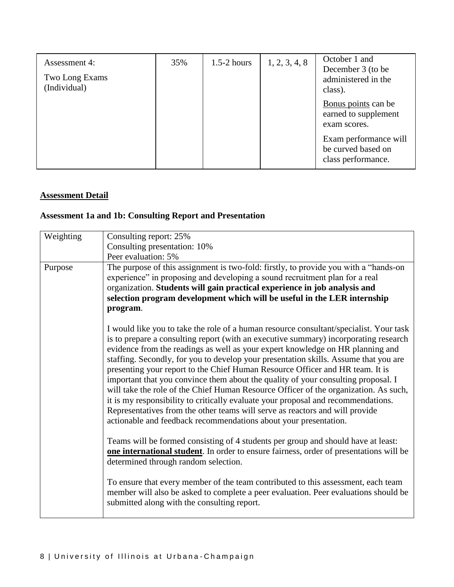| Assessment 4:<br>Two Long Exams<br>(Individual) | 35% | $1.5-2$ hours | 1, 2, 3, 4, 8 | October 1 and<br>December 3 (to be<br>administered in the<br>class). |
|-------------------------------------------------|-----|---------------|---------------|----------------------------------------------------------------------|
|                                                 |     |               |               | Bonus points can be<br>earned to supplement<br>exam scores.          |
|                                                 |     |               |               | Exam performance will<br>be curved based on<br>class performance.    |

#### **Assessment Detail**

### **Assessment 1a and 1b: Consulting Report and Presentation**

| Weighting | Consulting report: 25%                                                                                                                                                                                                                                                                                                                                                                                                                                                                                                                                                                                                                                                                                                                                                                                                                                          |
|-----------|-----------------------------------------------------------------------------------------------------------------------------------------------------------------------------------------------------------------------------------------------------------------------------------------------------------------------------------------------------------------------------------------------------------------------------------------------------------------------------------------------------------------------------------------------------------------------------------------------------------------------------------------------------------------------------------------------------------------------------------------------------------------------------------------------------------------------------------------------------------------|
|           | Consulting presentation: 10%                                                                                                                                                                                                                                                                                                                                                                                                                                                                                                                                                                                                                                                                                                                                                                                                                                    |
|           | Peer evaluation: 5%                                                                                                                                                                                                                                                                                                                                                                                                                                                                                                                                                                                                                                                                                                                                                                                                                                             |
| Purpose   | The purpose of this assignment is two-fold: firstly, to provide you with a "hands-on<br>experience" in proposing and developing a sound recruitment plan for a real<br>organization. Students will gain practical experience in job analysis and<br>selection program development which will be useful in the LER internship<br>program.                                                                                                                                                                                                                                                                                                                                                                                                                                                                                                                        |
|           | I would like you to take the role of a human resource consultant/specialist. Your task<br>is to prepare a consulting report (with an executive summary) incorporating research<br>evidence from the readings as well as your expert knowledge on HR planning and<br>staffing. Secondly, for you to develop your presentation skills. Assume that you are<br>presenting your report to the Chief Human Resource Officer and HR team. It is<br>important that you convince them about the quality of your consulting proposal. I<br>will take the role of the Chief Human Resource Officer of the organization. As such,<br>it is my responsibility to critically evaluate your proposal and recommendations.<br>Representatives from the other teams will serve as reactors and will provide<br>actionable and feedback recommendations about your presentation. |
|           | Teams will be formed consisting of 4 students per group and should have at least:<br>one international student. In order to ensure fairness, order of presentations will be<br>determined through random selection.                                                                                                                                                                                                                                                                                                                                                                                                                                                                                                                                                                                                                                             |
|           | To ensure that every member of the team contributed to this assessment, each team<br>member will also be asked to complete a peer evaluation. Peer evaluations should be<br>submitted along with the consulting report.                                                                                                                                                                                                                                                                                                                                                                                                                                                                                                                                                                                                                                         |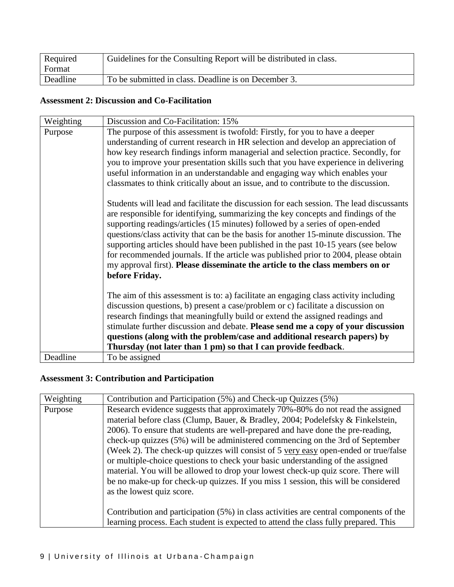| Required | Guidelines for the Consulting Report will be distributed in class. |
|----------|--------------------------------------------------------------------|
| Format   |                                                                    |
| Deadline | To be submitted in class. Deadline is on December 3.               |

### **Assessment 2: Discussion and Co-Facilitation**

| Weighting | Discussion and Co-Facilitation: 15%                                                                                                                                                                                                                                                                                                                                                                                                                                                                                                                                                                                                 |
|-----------|-------------------------------------------------------------------------------------------------------------------------------------------------------------------------------------------------------------------------------------------------------------------------------------------------------------------------------------------------------------------------------------------------------------------------------------------------------------------------------------------------------------------------------------------------------------------------------------------------------------------------------------|
| Purpose   | The purpose of this assessment is twofold: Firstly, for you to have a deeper                                                                                                                                                                                                                                                                                                                                                                                                                                                                                                                                                        |
|           | understanding of current research in HR selection and develop an appreciation of                                                                                                                                                                                                                                                                                                                                                                                                                                                                                                                                                    |
|           | how key research findings inform managerial and selection practice. Secondly, for                                                                                                                                                                                                                                                                                                                                                                                                                                                                                                                                                   |
|           | you to improve your presentation skills such that you have experience in delivering                                                                                                                                                                                                                                                                                                                                                                                                                                                                                                                                                 |
|           | useful information in an understandable and engaging way which enables your                                                                                                                                                                                                                                                                                                                                                                                                                                                                                                                                                         |
|           | classmates to think critically about an issue, and to contribute to the discussion.                                                                                                                                                                                                                                                                                                                                                                                                                                                                                                                                                 |
|           | Students will lead and facilitate the discussion for each session. The lead discussants<br>are responsible for identifying, summarizing the key concepts and findings of the<br>supporting readings/articles (15 minutes) followed by a series of open-ended<br>questions/class activity that can be the basis for another 15-minute discussion. The<br>supporting articles should have been published in the past 10-15 years (see below<br>for recommended journals. If the article was published prior to 2004, please obtain<br>my approval first). Please disseminate the article to the class members on or<br>before Friday. |
|           | The aim of this assessment is to: a) facilitate an engaging class activity including<br>discussion questions, b) present a case/problem or c) facilitate a discussion on                                                                                                                                                                                                                                                                                                                                                                                                                                                            |
|           | research findings that meaningfully build or extend the assigned readings and<br>stimulate further discussion and debate. Please send me a copy of your discussion                                                                                                                                                                                                                                                                                                                                                                                                                                                                  |
|           | questions (along with the problem/case and additional research papers) by                                                                                                                                                                                                                                                                                                                                                                                                                                                                                                                                                           |
|           | Thursday (not later than 1 pm) so that I can provide feedback.                                                                                                                                                                                                                                                                                                                                                                                                                                                                                                                                                                      |
| Deadline  | To be assigned                                                                                                                                                                                                                                                                                                                                                                                                                                                                                                                                                                                                                      |

# **Assessment 3: Contribution and Participation**

| Weighting | Contribution and Participation (5%) and Check-up Quizzes (5%)                                                                                                                                                                                                                                                                                                                                                                                                                                                                                                                                                                                                                                                          |
|-----------|------------------------------------------------------------------------------------------------------------------------------------------------------------------------------------------------------------------------------------------------------------------------------------------------------------------------------------------------------------------------------------------------------------------------------------------------------------------------------------------------------------------------------------------------------------------------------------------------------------------------------------------------------------------------------------------------------------------------|
| Purpose   | Research evidence suggests that approximately 70%-80% do not read the assigned<br>material before class (Clump, Bauer, & Bradley, 2004; Podelefsky & Finkelstein,<br>2006). To ensure that students are well-prepared and have done the pre-reading,<br>check-up quizzes (5%) will be administered commencing on the 3rd of September<br>(Week 2). The check-up quizzes will consist of 5 very easy open-ended or true/false<br>or multiple-choice questions to check your basic understanding of the assigned<br>material. You will be allowed to drop your lowest check-up quiz score. There will<br>be no make-up for check-up quizzes. If you miss 1 session, this will be considered<br>as the lowest quiz score. |
|           | Contribution and participation (5%) in class activities are central components of the<br>learning process. Each student is expected to attend the class fully prepared. This                                                                                                                                                                                                                                                                                                                                                                                                                                                                                                                                           |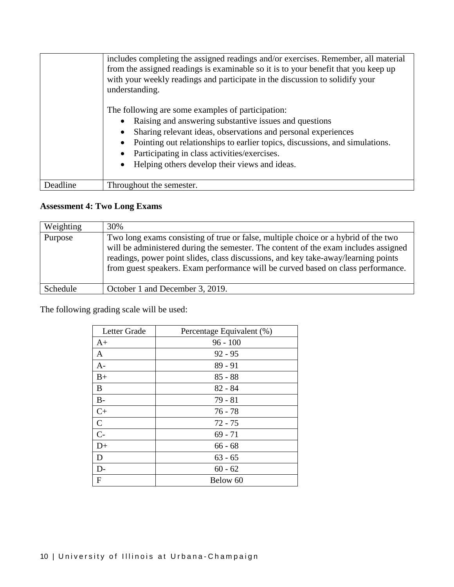|          | includes completing the assigned readings and/or exercises. Remember, all material<br>from the assigned readings is examinable so it is to your benefit that you keep up<br>with your weekly readings and participate in the discussion to solidify your<br>understanding. |
|----------|----------------------------------------------------------------------------------------------------------------------------------------------------------------------------------------------------------------------------------------------------------------------------|
|          | The following are some examples of participation:                                                                                                                                                                                                                          |
|          | Raising and answering substantive issues and questions                                                                                                                                                                                                                     |
|          | Sharing relevant ideas, observations and personal experiences<br>$\bullet$                                                                                                                                                                                                 |
|          | Pointing out relationships to earlier topics, discussions, and simulations.<br>$\bullet$                                                                                                                                                                                   |
|          | Participating in class activities/exercises.<br>٠                                                                                                                                                                                                                          |
|          | Helping others develop their views and ideas.<br>$\bullet$                                                                                                                                                                                                                 |
|          |                                                                                                                                                                                                                                                                            |
| Deadline | Throughout the semester.                                                                                                                                                                                                                                                   |

# **Assessment 4: Two Long Exams**

| Weighting | 30%                                                                                                                                                                                                                                                                                                                                                 |
|-----------|-----------------------------------------------------------------------------------------------------------------------------------------------------------------------------------------------------------------------------------------------------------------------------------------------------------------------------------------------------|
| Purpose   | Two long exams consisting of true or false, multiple choice or a hybrid of the two<br>will be administered during the semester. The content of the exam includes assigned<br>readings, power point slides, class discussions, and key take-away/learning points<br>from guest speakers. Exam performance will be curved based on class performance. |
| Schedule  | October 1 and December 3, 2019.                                                                                                                                                                                                                                                                                                                     |

The following grading scale will be used:

| Letter Grade | Percentage Equivalent (%) |
|--------------|---------------------------|
| $A+$         | $96 - 100$                |
| A            | $92 - 95$                 |
| $A-$         | $89 - 91$                 |
| $B+$         | $85 - 88$                 |
| B            | $82 - 84$                 |
| $B -$        | $79 - 81$                 |
| $C+$         | $76 - 78$                 |
| $\mathsf{C}$ | $72 - 75$                 |
| $C -$        | $69 - 71$                 |
| $D+$         | $66 - 68$                 |
| D            | $63 - 65$                 |
| $D -$        | $60 - 62$                 |
| F            | Below 60                  |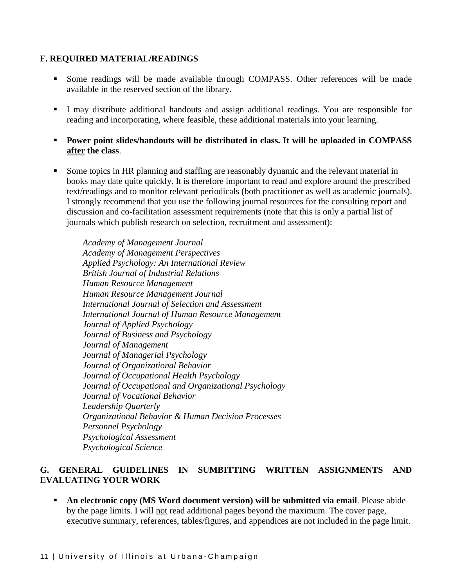#### **F. REQUIRED MATERIAL/READINGS**

- Some readings will be made available through COMPASS. Other references will be made available in the reserved section of the library.
- I may distribute additional handouts and assign additional readings. You are responsible for reading and incorporating, where feasible, these additional materials into your learning.
- **Power point slides/handouts will be distributed in class. It will be uploaded in COMPASS after the class**.
- Some topics in HR planning and staffing are reasonably dynamic and the relevant material in books may date quite quickly. It is therefore important to read and explore around the prescribed text/readings and to monitor relevant periodicals (both practitioner as well as academic journals). I strongly recommend that you use the following journal resources for the consulting report and discussion and co-facilitation assessment requirements (note that this is only a partial list of journals which publish research on selection, recruitment and assessment):

*Academy of Management Journal Academy of Management Perspectives Applied Psychology: An International Review British Journal of Industrial Relations Human Resource Management Human Resource Management Journal International Journal of Selection and Assessment International Journal of Human Resource Management Journal of Applied Psychology Journal of Business and Psychology Journal of Management Journal of Managerial Psychology Journal of Organizational Behavior Journal of Occupational Health Psychology Journal of Occupational and Organizational Psychology Journal of Vocational Behavior Leadership Quarterly Organizational Behavior & Human Decision Processes Personnel Psychology Psychological Assessment Psychological Science*

#### **G. GENERAL GUIDELINES IN SUMBITTING WRITTEN ASSIGNMENTS AND EVALUATING YOUR WORK**

 **An electronic copy (MS Word document version) will be submitted via email**. Please abide by the page limits. I will not read additional pages beyond the maximum. The cover page, executive summary, references, tables/figures, and appendices are not included in the page limit.